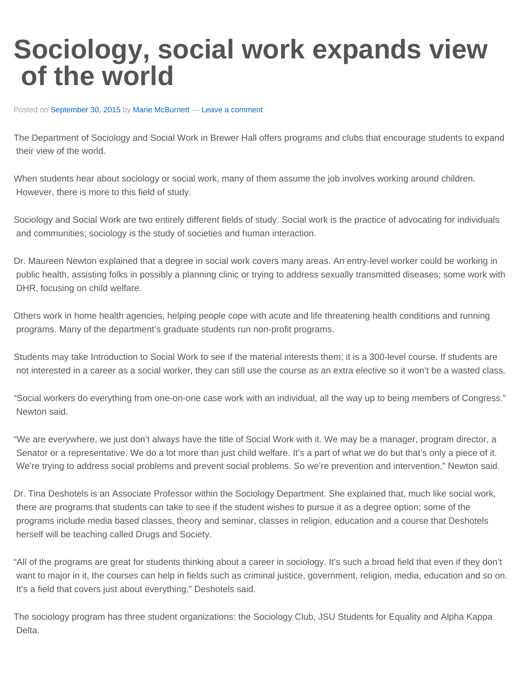## **Sociology, social work expands view of the world**

Posted on [September 30, 2015](https://thechanticleer.wordpress.com/2015/09/30/sociology-social-work-expands-view-of-the-world/) by [Marie McBurnett](https://thechanticleer.wordpress.com/author/mariemc24/) - [Leave a comment](https://thechanticleer.wordpress.com/2015/09/30/sociology-social-work-expands-view-of-the-world/#respond)

The Department of Sociology and Social Work in Brewer Hall offers programs and clubs that encourage students to expand their view of the world.

When students hear about sociology or social work, many of them assume the job involves working around children. However, there is more to this field of study.

Sociology and Social Work are two entirely different fields of study. Social work is the practice of advocating for individuals and communities; sociology is the study of societies and human interaction.

Dr. Maureen Newton explained that a degree in social work covers many areas. An entry-level worker could be working in public health, assisting folks in possibly a planning clinic or trying to address sexually transmitted diseases; some work with DHR, focusing on child welfare.

Others work in home health agencies, helping people cope with acute and life threatening health conditions and running programs. Many of the department's graduate students run non-profit programs.

Students may take Introduction to Social Work to see if the material interests them; it is a 300-level course. If students are not interested in a career as a social worker, they can still use the course as an extra elective so it won't be a wasted class.

"Social workers do everything from one-on-one case work with an individual, all the way up to being members of Congress." Newton said.

"We are everywhere, we just don't always have the title of Social Work with it. We may be a manager, program director, a Senator or a representative. We do a lot more than just child welfare. It's a part of what we do but that's only a piece of it. We're trying to address social problems and prevent social problems. So we're prevention and intervention," Newton said.

Dr. Tina Deshotels is an Associate Professor within the Sociology Department. She explained that, much like social work, there are programs that students can take to see if the student wishes to pursue it as a degree option; some of the programs include media based classes, theory and seminar, classes in religion, education and a course that Deshotels herself will be teaching called Drugs and Society.

"All of the programs are great for students thinking about a career in sociology. It's such a broad field that even if they don't want to major in it, the courses can help in fields such as criminal justice, government, religion, media, education and so on. It's a field that covers just about everything," Deshotels said.

The sociology program has three student organizations: the Sociology Club, JSU Students for Equality and Alpha Kappa Delta.